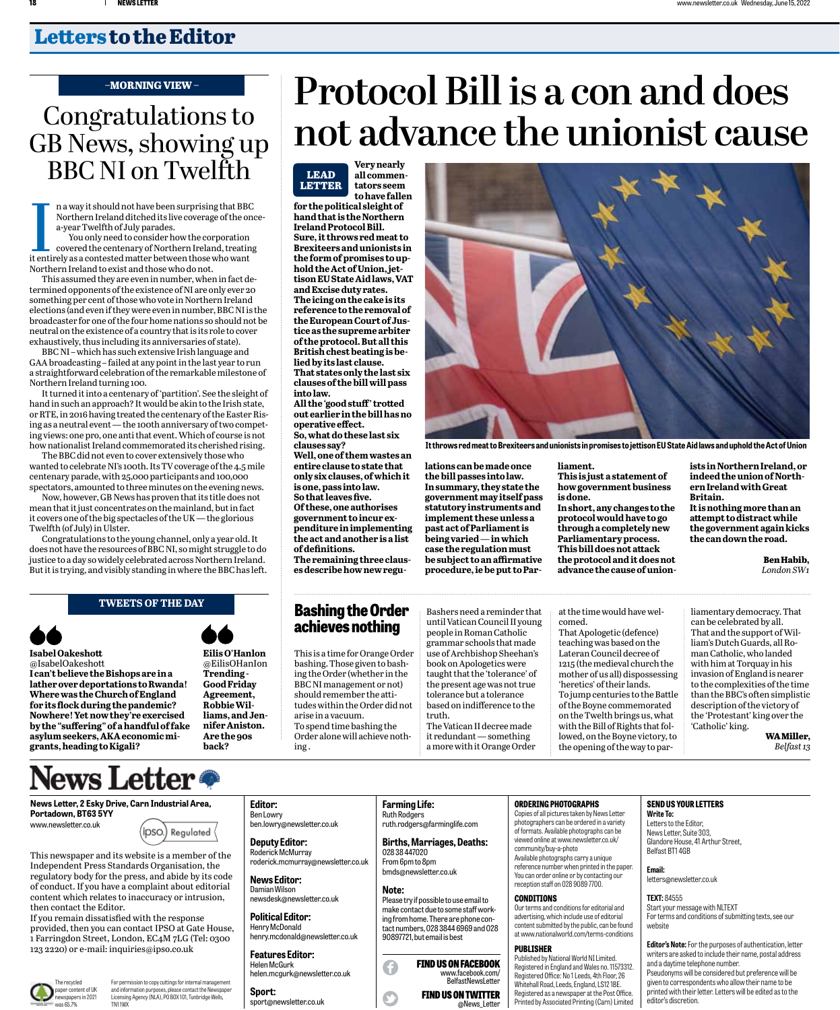## **Letters to the Editor**

#### **–MORNING VIEW –**

# Congratulations to GB News, showing up BBC NI on Twelfth

n a way it should not have been surprising that BBC Northern Ireland ditched its live coverage of the oncea-year Twelfth of July parades.

**ILLEN**<br>It enti<br>North You only need to consider how the corporation covered the centenary of Northern Ireland, treating it entirely as a contested matter between those who want Northern Ireland to exist and those who do not.

This assumed they are even in number, when in fact determined opponents of the existence of NI are only ever 20 something per cent of those who vote in Northern Ireland elections (and even if they were even in number, BBC NI is the broadcaster for one of the four home nations so should not be neutral on the existence of a country that is its role to cover exhaustively, thus including its anniversaries of state).

BBC NI – which has such extensive Irish language and GAA broadcasting – failed at any point in the last year to run a straightforward celebration of the remarkable milestone of Northern Ireland turning 100.

It turned it into a centenary of 'partition'. See the sleight of hand in such an approach? It would be akin to the Irish state, or RTE, in 2016 having treated the centenary of the Easter Rising as a neutral event — the 100th anniversary of two competing views: one pro, one anti that event. Which of course is not how nationalist Ireland commemorated its cherished rising.

The BBC did not even to cover extensively those who wanted to celebrate NI's 100th. Its TV coverage of the 4.5 mile centenary parade, with 25,000 participants and 100,000 spectators, amounted to three minutes on the evening news.

Now, however, GB News has proven that its title does not mean that it just concentrates on the mainland, but in fact it covers one of the big spectacles of the UK — the glorious Twelfth (of July) in Ulster.

Congratulations to the young channel, only a year old. It does not have the resources of BBC NI, so might struggle to do justice to a day so widely celebrated across Northern Ireland. But it is trying, and visibly standing in where the BBC has left.

#### **tweets of the DAY**

**Isabel Oakeshott** @IsabelOakeshott

**I can't believe the Bishops are in a lather over deportations to Rwanda! Where was the Church of England for its flock during the pandemic? Nowhere! Yet now they're exercised by the "suffering" of a handful of fake asylum seekers, AKA economic migrants, heading to Kigali?**

# **News Letter**

**News Letter, 2 Esky Drive, Carn Industrial Area, Portadown, BT63 5YY**



This newspaper and its website is a member of the Independent Press Standards Organisation, the regulatory body for the press, and abide by its code of conduct. If you have a complaint about editorial content which relates to inaccuracy or intrusion, then contact the Editor.

) Regulated (

If you remain dissatisfied with the response provided, then you can contact IPSO at Gate House, 1 Farringdon Street, London, EC4M 7LG (Tel: 0300 123 2220) or e-mail: inquiries@ipso.co.uk



For permission to copy cuttings for internal management and information purposes, please contact the Newspaper Licensing Agency (NLA), PO BOX 101, Tunbridge Wells, TN1 1WX

#### Ben Lowry ben.lowry@newsletter.co.uk **Deputy Editor:**

**Editor:**

Roderick McMurray roderick.mcmurray@newsletter.co.uk **News Editor:**  Damian Wilson

#### newsdesk@newsletter.co.uk **Political Editor:**  Henry McDonald

henry.mcdonald@newsletter.co.uk **Features Editor:** 

#### Helen McGurk helen.mcgurk@newsletter.co.uk

**Sport:**  sport@newsletter.co.uk

# **Protocol Bill is a con and does not advance the unionist cause**

**Very nearly all commentators seem to have fallen for the political sleight of hand that is the Northern Ireland Protocol Bill. Sure, it throws red meat to Brexiteers and unionists in the form of promises to uphold the Act of Union, jettison EU State Aid laws, VAT and Excise duty rates. The icing on the cake is its reference to the removal of the European Court of Justice as the supreme arbiter of the protocol. But all this British chest beating is belied by its last clause. That states only the last six clauses of the bill will pass into law. lead letter**

**All the 'good stuff' trotted out earlier in the bill has no operative effect. So, what do these last six** 

**clauses say? Well, one of them wastes an entire clause to state that only six clauses, of which it is one, pass into law. So that leaves five. Of these, one authorises government to incur expenditure in implementing the act and another is a list of definitions. The remaining three claus-**

**es describe how new regu-**

### **Bashing the Order achieves nothing**

This is a time for Orange Order bashing. Those given to bashing the Order (whether in the BBC NI management or not) should remember the attitudes within the Order did not arise in a vacuum. To spend time bashing the Order alone will achieve nothing .

> **Farming Life:**  Ruth Rodgers

028 38 447020 From 6pm to 8pm bmds@newsletter.co.uk

**Note:** 

 $\mathbf{C}$ 

ruth.rodgers@farminglife.com **Births, Marriages, Deaths:** 

Please try if possible to use email to make contact due to some staff working from home. There are phone contact numbers, 028 3844 6969 and 028 90897721, but email is best

> find US ON twitter @News\_Letter

find US ONFACEBOOK www.facebook.com/ BelfastNewsLetter

Bashers need a reminder that until Vatican Council II young people in Roman Catholic grammar schools that made use of Archbishop Sheehan's book on Apologetics were taught that the 'tolerance' of the present age was not true tolerance but a tolerance based on indifference to the truth.

**lations can be made once the bill passes into law. In summary, they state the government may itself pass statutory instruments and implement these unless a past act of Parliament is being varied — in which case the regulation must be subject to an affirmative procedure, ie be put to Par-**

The Vatican II decree made it redundant — something a more with it Orange Order **liament. This is just a statement of how government business** 

**It throws red meat to Brexiteers and unionists in promises to jettison EU State Aid laws and uphold the Act of Union**

**is done. In short, any changes to the protocol would have to go through a completely new Parliamentary process. This bill does not attack the protocol and it does not advance the cause of union-** **ists in Northern Ireland, or indeed the union of Northern Ireland with Great Britain. It is nothing more than an attempt to distract while the government again kicks the can down the road.**

> **Ben Habib,** *London SW1*

at the time would have welcomed. That Apologetic (defence) teaching was based on the Lateran Council decree of 1215 (the medieval church the mother of us all) dispossessing 'heretics' of their lands. To jump centuries to the Battle of the Boyne commemorated on the Twelth brings us, what with the Bill of Rights that followed, on the Boyne victory, to

the opening of the way to par-

liamentary democracy. That can be celebrated by all. That and the support of William's Dutch Guards, all Roman Catholic, who landed with him at Torquay in his invasion of England is nearer to the complexities of the time than the BBC's often simplistic description of the victory of the 'Protestant' king over the 'Catholic' king.

**WA Miller,** *Belfast 13*

#### **Ordering photographs**

Copies of all pictures taken by News Letter photographers can be ordered in a variety of formats. Available photographs can be viewed online at www.newsletter.co.uk/ community/buy-a-photo Available photographs carry a unique reference number when printed in the paper. You can order online or by contacting our reception staff on 028 9089 7700.

#### **conditions** Our terms and conditions for editorial and advertising, which include use of editorial content submitted by the public, can be found at www.nationalworld.com/terms-conditions

**PUBLISHER** Published by National World NI Limited. Registered in England and Wales no. 11573312. Registered Office: No 1 Leeds, 4th Floor, 26

Whitehall Road, Leeds, England, LS12 1BE. Registered as a newspaper at the Post Office. Printed by Associated Printing (Carn) Limited

#### **SEND US YOUR LETTERS**

**Write To:** Letters to the Editor, News Letter, Suite 303, Glandore House, 41 Arthur Street, Belfast BT1 4GB

**Email:** letters@newsletter.co.uk

### **TEXT:** 84555

Start your message with NLTEXT For terms and conditions of submitting texts, see our website

**Editor's Note:** For the purposes of authentication, letter writers are asked to include their name, postal address and a daytime telephone number.

Pseudonyms will be considered but preference will be given to correspondents who allow their name to be printed with their letter. Letters will be edited as to the editor's discretion.



@EilisOHanIon **Trending - Good Friday Agreement, Robbie Williams, and Jennifer Aniston. Are the 90s back?**